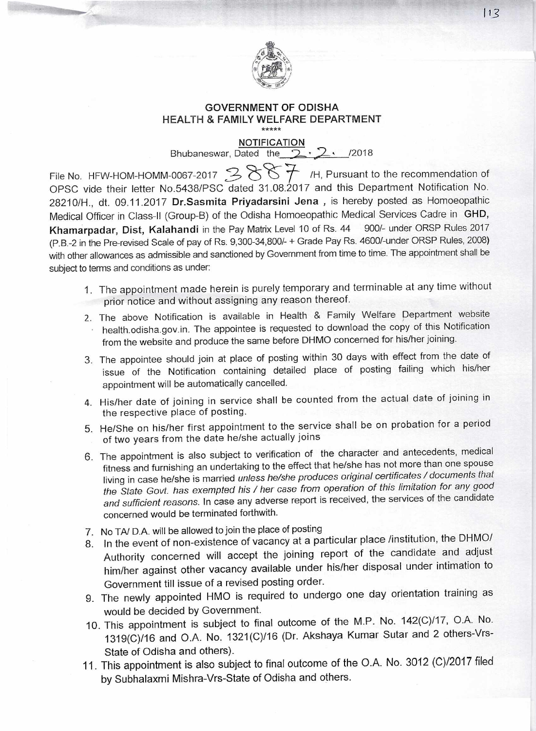

## **GOVERNMENT OF ODISHA HEALTH & FAMILY WELFARE DEPARTMENT**  +++++

## NOTIFICATION

Bhubaneswar, Dated the  $2 \cdot 2$ , /2018

File No. HFW-HOM-HOMM-0067-2017  $\mathcal{B}$   $\mathcal{B}$   $\mathcal{B}$  H, Pursuant to the recommendation of OPSC vide their letter No.5438/PSC dated 31.08.2017 and this Department Notification No. 28210/H., dt. 09.11.2017 **Dr.Sasmita Priyadarsini Jena ,** is hereby posted as Homoeopathic Medical Officer in Class-II (Group-B) of the Odisha Homoeopathic Medical Services Cadre in **GHD, Khamarpadar, Dist, Kalahandi** in the Pay Matrix Level 10 of Rs. 44 900/- under ORSP Rules 2017 (P.B.-2 in the Pre-revised Scale of pay of Rs. 9,300-34,800/- + Grade Pay Rs. 4600/-under ORSP Rules, 2008) with other allowances as admissible and sanctioned by Government from time to time. The appointment shall be subject to terms and conditions as under:

- 1. The appointment made herein is purely temporary and terminable at any time without prior notice and without assigning any reason thereof.
- 2. The above Notification is available in Health & Family Welfare Department website health.odisha.gov.in. The appointee is requested to download the copy of this Notification from the website and produce the same before DHMO concerned for his/her joining.
- 3. The appointee should join at place of posting within 30 days with effect from the date of issue of the Notification containing detailed place of posting failing which his/her appointment will be automatically cancelled.
- 4. His/her date of joining in service shall be counted from the actual date of joining in the respective place of posting.
- 5. He/She on his/her first appointment to the service shall be on probation for a period of two years from the date he/she actually joins
- 6. The appointment is also subject to verification of the character and antecedents, medical fitness and furnishing an undertaking to the effect that he/she has not more than one spouse living in case he/she is married unless he/she produces original certificates / documents that the State Govt. has exempted his / her case from operation of this limitation for any good and sufficient reasons. In case any adverse report is received, the services of the candidate concerned would be terminated forthwith.
- 7. No TA/ D.A. will be allowed to join the place of posting
- 8. In the event of non-existence of vacancy at a particular place /institution, the DHMO/ Authority concerned will accept the joining report of the candidate and adjust him/her against other vacancy available under his/her disposal under intimation to Government till issue of a revised posting order.
- 9. The newly appointed HMO is required to undergo one day orientation training as would be decided by Government.
- 10. This appointment is subject to final outcome of the M.P. No. 142(C)/17, O.A. No. 1319(C)116 and O.A. No. 1321(C)116 (Dr. Akshaya Kumar Sutar and 2 others-Vrs-State of Odisha and others).
- 11. This appointment is also subject to final outcome of the O.A. No. 3012 (C)/2017 filed by Subhalaxmi Mishra-Vrs-State of Odisha and others.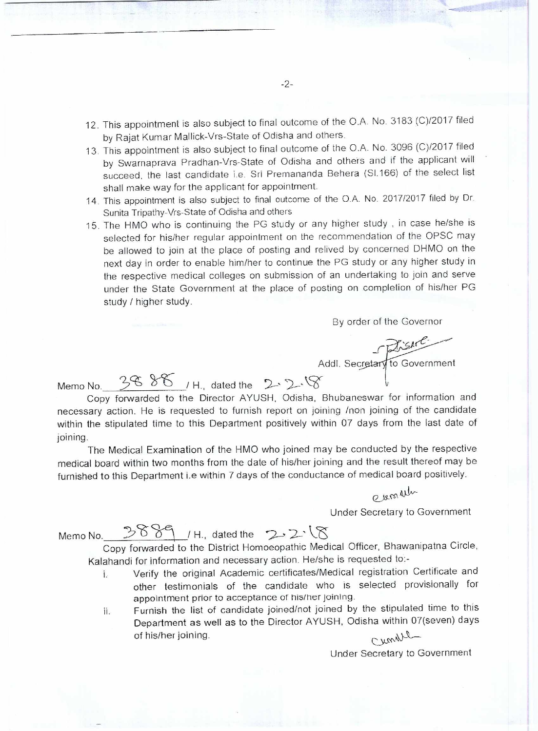- 12. This appointment is also subject to final outcome of the O.A. No. 3183 (C)/2017 filed by Rajat Kumar Mallick-Vrs-State of Odisha and others.
- 13. This appointment is also subject to final outcome of the O.A. No. 3096 (C)/2017 filed by Swarnaprava Pradhan-Vrs-State of Odisha and others and if the applicant will succeed, the last candidate i.e. Sri Premananda Behera (SI.166) of the select list shall make way for the applicant for appointment.
- 14. This appointment is also subject to final outcome of the O.A.No. 2017/2017 filed by Dr. Sunita Tripathy-Vrs-State of Odisha and others
- 15. The HMO who is continuing the PG study or any higher study , in case he/she is selected for his/her regular appointment on the recommendation of the OPSC may be allowed to join at the place of posting and relived by concerned DHMO on the next day in order to enable him/her to continue the PG study or any higher study in the respective medical colleges on submission of an undertaking to join and serve under the State Government at the place of posting on completion of his/her PG study / higher study.

By order of the Governor

Addl. Secretary to Government

Memo No.  $3686$ , H., dated the  $2.2.8$ 

Copy forwarded to the Director AYUSH, Odisha, Bhubaneswar for information and necessary action. He is requested to furnish report on joining /non joining of the candidate within the stipulated time to this Department positively within 07 days from the last date of joining.

The Medical Examination of the HMO who joined may be conducted by the respective medical board within two months from the date of his/her joining and the result thereof may be furnished to this Department i.e within 7 days of the conductance of medical board positively.

evenation

Under Secretary to Government

Memo No.  $3889$  / H., dated the  $2.2$   $8$ 

Copy forwarded to the District Homoeopathic Medical Officer, Bhawanipatna Circle, Kalahandi for information and necessary action. He/she is requested to:-

- Verify the original Academic certificates/Medical registration Certificate and j. other testimonials of the candidate who is selected provisionally for appointment prior to acceptance of his/her joining.
- ii. Furnish the list of candidate joined/not joined by the stipulated time to this Department as well as to the Director AYUSH, Odisha within 07(seven) days Cumell of his/her joining.

Under Secretary to Government